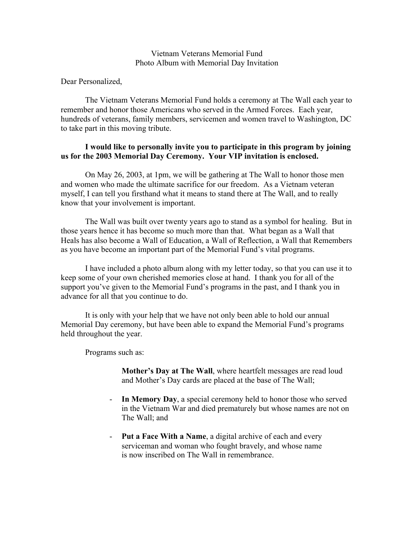## Vietnam Veterans Memorial Fund Photo Album with Memorial Day Invitation

Dear Personalized,

The Vietnam Veterans Memorial Fund holds a ceremony at The Wall each year to remember and honor those Americans who served in the Armed Forces. Each year, hundreds of veterans, family members, servicemen and women travel to Washington, DC to take part in this moving tribute.

## **I would like to personally invite you to participate in this program by joining us for the 2003 Memorial Day Ceremony. Your VIP invitation is enclosed.**

On May 26, 2003, at 1pm, we will be gathering at The Wall to honor those men and women who made the ultimate sacrifice for our freedom. As a Vietnam veteran myself, I can tell you firsthand what it means to stand there at The Wall, and to really know that your involvement is important.

The Wall was built over twenty years ago to stand as a symbol for healing. But in those years hence it has become so much more than that. What began as a Wall that Heals has also become a Wall of Education, a Wall of Reflection, a Wall that Remembers as you have become an important part of the Memorial Fund's vital programs.

I have included a photo album along with my letter today, so that you can use it to keep some of your own cherished memories close at hand. I thank you for all of the support you've given to the Memorial Fund's programs in the past, and I thank you in advance for all that you continue to do.

It is only with your help that we have not only been able to hold our annual Memorial Day ceremony, but have been able to expand the Memorial Fund's programs held throughout the year.

Programs such as:

**Mother's Day at The Wall**, where heartfelt messages are read loud and Mother's Day cards are placed at the base of The Wall;

- In Memory Day, a special ceremony held to honor those who served in the Vietnam War and died prematurely but whose names are not on The Wall; and
- **Put a Face With a Name**, a digital archive of each and every serviceman and woman who fought bravely, and whose name is now inscribed on The Wall in remembrance.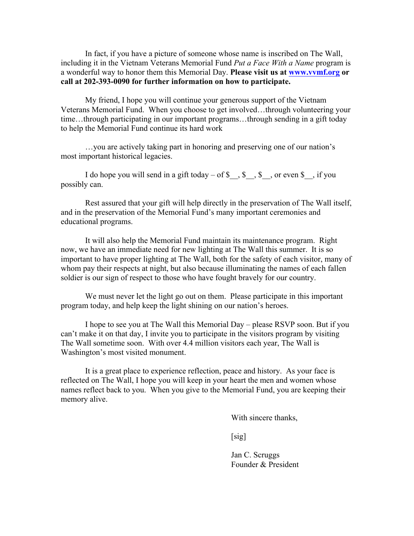In fact, if you have a picture of someone whose name is inscribed on The Wall, including it in the Vietnam Veterans Memorial Fund *Put a Face With a Name* program is a wonderful way to honor them this Memorial Day. **Please visit us at www.vvmf.org or call at 202-393-0090 for further information on how to participate.**

My friend, I hope you will continue your generous support of the Vietnam Veterans Memorial Fund. When you choose to get involved…through volunteering your time…through participating in our important programs…through sending in a gift today to help the Memorial Fund continue its hard work

…you are actively taking part in honoring and preserving one of our nation's most important historical legacies.

I do hope you will send in a gift today – of  $\$\$ ,  $\$\$ ,  $\$$ , or even  $\$\$ , if you possibly can.

Rest assured that your gift will help directly in the preservation of The Wall itself, and in the preservation of the Memorial Fund's many important ceremonies and educational programs.

It will also help the Memorial Fund maintain its maintenance program. Right now, we have an immediate need for new lighting at The Wall this summer. It is so important to have proper lighting at The Wall, both for the safety of each visitor, many of whom pay their respects at night, but also because illuminating the names of each fallen soldier is our sign of respect to those who have fought bravely for our country.

We must never let the light go out on them. Please participate in this important program today, and help keep the light shining on our nation's heroes.

I hope to see you at The Wall this Memorial Day – please RSVP soon. But if you can't make it on that day, I invite you to participate in the visitors program by visiting The Wall sometime soon. With over 4.4 million visitors each year, The Wall is Washington's most visited monument.

It is a great place to experience reflection, peace and history. As your face is reflected on The Wall, I hope you will keep in your heart the men and women whose names reflect back to you. When you give to the Memorial Fund, you are keeping their memory alive.

With sincere thanks,

 $[sig]$ 

Jan C. Scruggs Founder & President